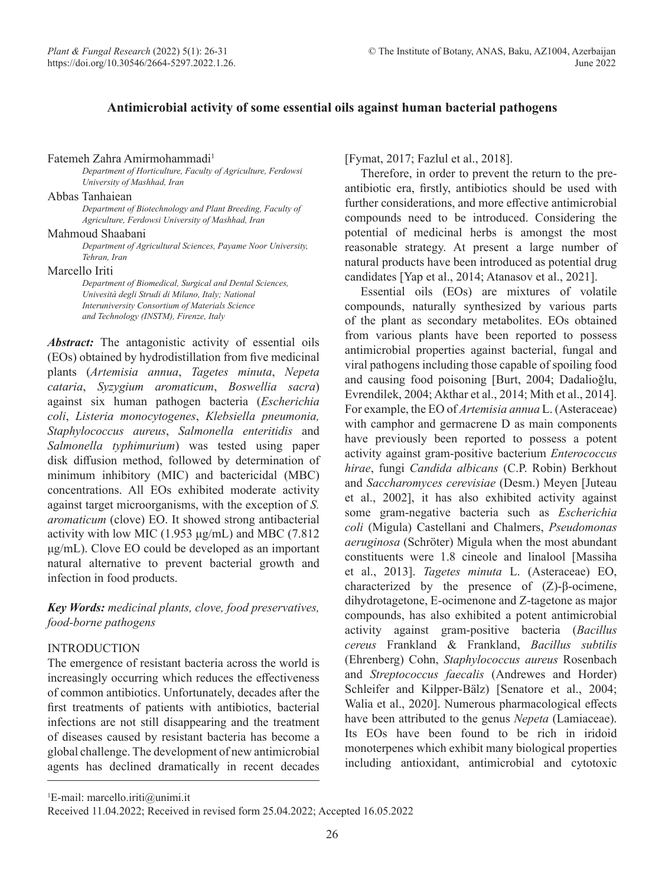# **Antimicrobial activity of some essential oils against human bacterial pathogens**

### Fatemeh Zahra Amirmohammadi<sup>1</sup>

*Department of Horticulture, Faculty of Agriculture, Ferdowsi University of Mashhad, Iran*

Abbas Tanhaiean

*Department of Biotechnology and Plant Breeding, Faculty of Agriculture, Ferdowsi University of Mashhad, Iran*

#### Mahmoud Shaabani

*Department of Agricultural Sciences, Payame Noor University, Tehran, Iran*

#### Marcello Iriti

*Department of Biomedical, Surgical and Dental Sciences, Univesità degli Strudi di Milano, Italy; National Interuniversity Consortium of Materials Science and Technology (INSTM), Firenze, Italy*

*Abstract:* The antagonistic activity of essential oils (EOs) obtained by hydrodistillation from five medicinal plants (*Artemisia annua*, *Tagetes minuta*, *Nepeta cataria*, *Syzygium aromaticum*, *Boswellia sacra*) against six human pathogen bacteria (*Escherichia coli*, *Listeria monocytogenes*, *Klebsiella pneumonia, Staphylococcus aureus*, *Salmonella enteritidis* and *Salmonella typhimurium*) was tested using paper disk diffusion method, followed by determination of minimum inhibitory (MIC) and bactericidal (MBC) concentrations. All EOs exhibited moderate activity against target microorganisms, with the exception of *S. aromaticum* (clove) EO. It showed strong antibacterial activity with low MIC (1.953 μg/mL) and MBC (7.812 μg/mL). Clove EO could be developed as an important natural alternative to prevent bacterial growth and infection in food products.

*Key Words: medicinal plants, clove, food preservatives, food-borne pathogens*

# INTRODUCTION

The emergence of resistant bacteria across the world is increasingly occurring which reduces the effectiveness of common antibiotics. Unfortunately, decades after the first treatments of patients with antibiotics, bacterial infections are not still disappearing and the treatment of diseases caused by resistant bacteria has become a global challenge. The development of new antimicrobial agents has declined dramatically in recent decades [Fymat, 2017; Fazlul et al., 2018].

Therefore, in order to prevent the return to the preantibiotic era, firstly, antibiotics should be used with further considerations, and more effective antimicrobial compounds need to be introduced. Considering the potential of medicinal herbs is amongst the most reasonable strategy. At present a large number of natural products have been introduced as potential drug candidates [Yap et al., 2014; Atanasov et al., 2021].

Essential oils (EOs) are mixtures of volatile compounds, naturally synthesized by various parts of the plant as secondary metabolites. EOs obtained from various plants have been reported to possess antimicrobial properties against bacterial, fungal and viral pathogens including those capable of spoiling food and causing food poisoning [Burt, 2004; Dadalioğlu, Evrendilek, 2004; Akthar et al., 2014; Mith et al., 2014]. For example, the EO of *Artemisia annua* L. (Asteraceae) with camphor and germacrene D as main components have previously been reported to possess a potent activity against gram-positive bacterium *Enterococcus hirae*, fungi *Candida albicans* (C.P. Robin) Berkhout and *Saccharomyces cerevisiae* (Desm.) Meyen [Juteau et al., 2002], it has also exhibited activity against some gram-negative bacteria such as *Escherichia coli* (Migula) Castellani and Chalmers, *Pseudomonas aeruginosa* (Schröter) Migula when the most abundant constituents were 1.8 cineole and linalool [Massiha et al., 2013]. *Tagetes minuta* L. (Asteraceae) EO, characterized by the presence of (Z)-β-ocimene, dihydrotagetone, E-ocimenone and Z-tagetone as major compounds, has also exhibited a potent antimicrobial activity against gram-positive bacteria (*Bacillus cereus* Frankland & Frankland, *Bacillus subtilis*  (Ehrenberg) Cohn, *Staphylococcus aureus* Rosenbach and *Streptococcus faecalis* (Andrewes and Horder) Schleifer and Kilpper-Bälz) [Senatore et al., 2004; Walia et al., 2020]. Numerous pharmacological effects have been attributed to the genus *Nepeta* (Lamiaceae). Its EOs have been found to be rich in iridoid monoterpenes which exhibit many biological properties including antioxidant, antimicrobial and cytotoxic

1 E-mail: marcello.iriti@unimi.it

Received 11.04.2022; Received in revised form 25.04.2022; Accepted 16.05.2022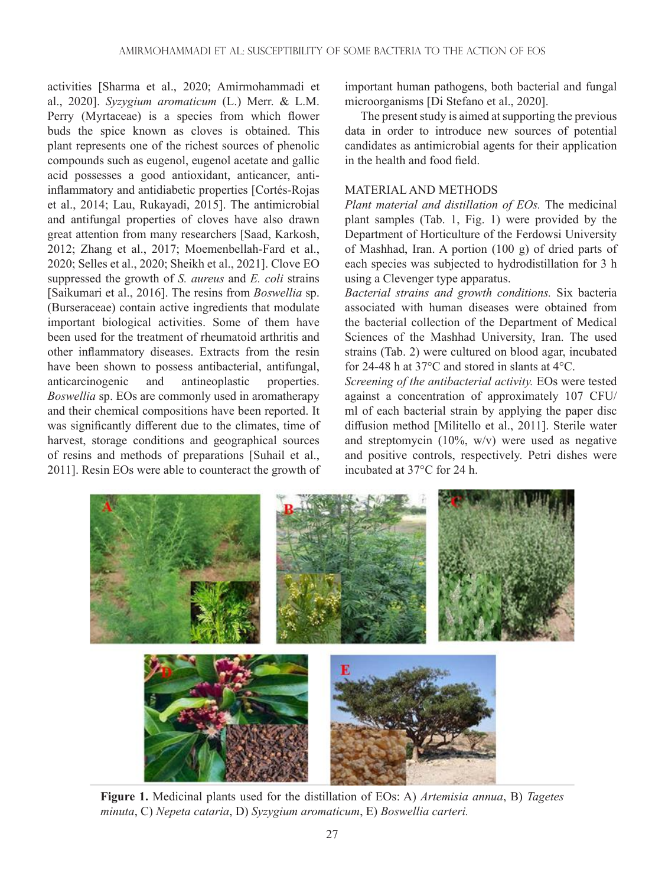activities [Sharma et al., 2020; Amirmohammadi et al., 2020]. *Syzygium aromaticum* (L.) Merr. & L.M. Perry (Myrtaceae) is a species from which flower buds the spice known as cloves is obtained. This plant represents one of the richest sources of phenolic compounds such as eugenol, eugenol acetate and gallic acid possesses a good antioxidant, anticancer, antiinflammatory and antidiabetic properties [Cortés-Rojas et al., 2014; Lau, Rukayadi, 2015]. The antimicrobial and antifungal properties of cloves have also drawn great attention from many researchers [Saad, Karkosh, 2012; Zhang et al., 2017; Moemenbellah-Fard et al., 2020; Selles et al., 2020; Sheikh et al., 2021]. Clove EO suppressed the growth of *S. aureus* and *E. coli* strains [Saikumari et al., 2016]. The resins from *Boswellia* sp. (Burseraceae) contain active ingredients that modulate important biological activities. Some of them have been used for the treatment of rheumatoid arthritis and other inflammatory diseases. Extracts from the resin have been shown to possess antibacterial, antifungal, anticarcinogenic and antineoplastic properties. *Boswellia* sp. EOs are commonly used in aromatherapy and their chemical compositions have been reported. It was significantly different due to the climates, time of harvest, storage conditions and geographical sources of resins and methods of preparations [Suhail et al., 2011]. Resin EOs were able to counteract the growth of

important human pathogens, both bacterial and fungal microorganisms [Di Stefano et al., 2020].

The present study is aimed at supporting the previous data in order to introduce new sources of potential candidates as antimicrobial agents for their application in the health and food field.

### MATERIAL AND METHODS

*Plant material and distillation of EOs.* The medicinal plant samples (Tab. 1, Fig. 1) were provided by the Department of Horticulture of the Ferdowsi University of Mashhad, Iran. A portion (100 g) of dried parts of each species was subjected to hydrodistillation for 3 h using a Clevenger type apparatus.

*Bacterial strains and growth conditions.* Six bacteria associated with human diseases were obtained from the bacterial collection of the Department of Medical Sciences of the Mashhad University, Iran. The used strains (Tab. 2) were cultured on blood agar, incubated for 24-48 h at 37°C and stored in slants at 4°C.

*Screening of the antibacterial activity.* EOs were tested against a concentration of approximately 107 CFU/ ml of each bacterial strain by applying the paper disc diffusion method [Militello et al., 2011]. Sterile water and streptomycin (10%, w/v) were used as negative and positive controls, respectively. Petri dishes were incubated at 37°C for 24 h.



**Figure 1.** Medicinal plants used for the distillation of EOs: A) *Artemisia annua*, B) *Tagetes minuta*, C) *Nepeta cataria*, D) *Syzygium aromaticum*, E) *Boswellia carteri.*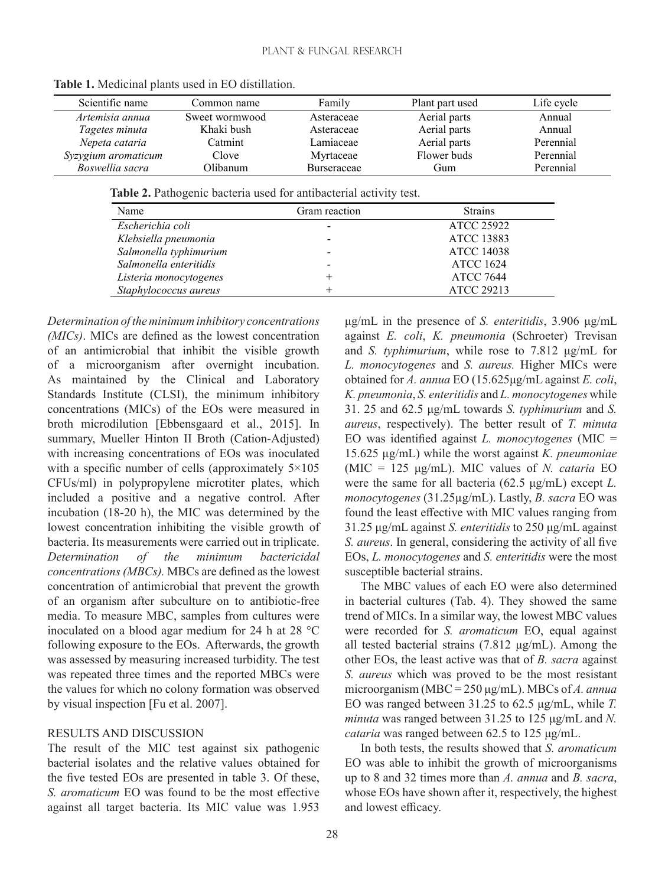| Scientific name     | Common name    | Family      | Plant part used | Life cycle |
|---------------------|----------------|-------------|-----------------|------------|
| Artemisia annua     | Sweet wormwood | Asteraceae  | Aerial parts    | Annual     |
| Tagetes minuta      | Khaki bush     | Asteraceae  | Aerial parts    | Annual     |
| Nepeta cataria      | Catmint        | Lamiaceae   | Aerial parts    | Perennial  |
| Syzygium aromaticum | Clove          | Myrtaceae   | Flower buds     | Perennial  |
| Boswellia sacra     | )libanum       | Burseraceae | Gum             | Perennial  |

**Table 1.** Medicinal plants used in EO distillation.

Table 2. Pathogenic bacteria used for antibacterial activity test.

| Name                   | Gram reaction            | <b>Strains</b>    |  |
|------------------------|--------------------------|-------------------|--|
| Escherichia coli       | $\overline{\phantom{a}}$ | ATCC 25922        |  |
| Klebsiella pneumonia   | $\overline{\phantom{a}}$ | <b>ATCC 13883</b> |  |
| Salmonella typhimurium | $\overline{\phantom{a}}$ | <b>ATCC 14038</b> |  |
| Salmonella enteritidis | $\overline{\phantom{a}}$ | <b>ATCC 1624</b>  |  |
| Listeria monocytogenes | $^+$                     | <b>ATCC 7644</b>  |  |
| Staphylococcus aureus  | $\mathrm{+}$             | <b>ATCC 29213</b> |  |

*Determination of the minimum inhibitory concentrations (MICs)*. MICs are defined as the lowest concentration of an antimicrobial that inhibit the visible growth of a microorganism after overnight incubation. As maintained by the Clinical and Laboratory Standards Institute (CLSI), the minimum inhibitory concentrations (MICs) of the EOs were measured in broth microdilution [Ebbensgaard et al., 2015]. In summary, Mueller Hinton II Broth (Cation-Adjusted) with increasing concentrations of EOs was inoculated with a specific number of cells (approximately  $5 \times 105$ ) CFUs/ml) in polypropylene microtiter plates, which included a positive and a negative control. After incubation (18-20 h), the MIC was determined by the lowest concentration inhibiting the visible growth of bacteria. Its measurements were carried out in triplicate. *Determination of the minimum bactericidal concentrations (MBCs).* MBCs are defined as the lowest concentration of antimicrobial that prevent the growth of an organism after subculture on to antibiotic-free media. To measure MBC, samples from cultures were inoculated on a blood agar medium for 24 h at 28 °C following exposure to the EOs. Afterwards, the growth was assessed by measuring increased turbidity. The test was repeated three times and the reported MBCs were the values for which no colony formation was observed by visual inspection [Fu et al. 2007].

### RESULTS AND DISCUSSION

The result of the MIC test against six pathogenic bacterial isolates and the relative values obtained for the five tested EOs are presented in table 3. Of these, *S. aromaticum* EO was found to be the most effective against all target bacteria. Its MIC value was 1.953

μg/mL in the presence of *S. enteritidis*, 3.906 μg/mL against *E. coli*, *K. pneumonia* (Schroeter) Trevisan and *S. typhimurium*, while rose to 7.812 μg/mL for *L. monocytogenes* and *S. aureus.* Higher MICs were obtained for *A. annua* EO (15.625μg/mL against *E. coli*, *K. pneumonia*, *S. enteritidis* and *L. monocytogenes* while 31. 25 and 62.5 μg/mL towards *S. typhimurium* and *S. aureus*, respectively). The better result of *T. minuta* EO was identified against *L. monocytogenes* (MIC = 15.625 µg/mL) while the worst against *K. pneumoniae* (MIC = 125 μg/mL). MIC values of *N. cataria* EO were the same for all bacteria (62.5 μg/mL) except *L. monocytogenes* (31.25µg/mL). Lastly, *B. sacra* EO was found the least effective with MIC values ranging from 31.25 μg/mL against *S. enteritidis* to 250 μg/mL against *S. aureus*. In general, considering the activity of all five EOs, *L. monocytogenes* and *S. enteritidis* were the most susceptible bacterial strains.

The MBC values of each EO were also determined in bacterial cultures (Tab. 4). They showed the same trend of MICs. In a similar way, the lowest MBC values were recorded for *S. aromaticum* EO, equal against all tested bacterial strains (7.812 μg/mL). Among the other EOs, the least active was that of *B. sacra* against *S. aureus* which was proved to be the most resistant microorganism (MBC = 250 μg/mL). MBCs of *A. annua*  EO was ranged between 31.25 to 62.5 μg/mL, while *T. minuta* was ranged between 31.25 to 125 μg/mL and *N. cataria* was ranged between 62.5 to 125 μg/mL.

In both tests, the results showed that *S. aromaticum*  EO was able to inhibit the growth of microorganisms up to 8 and 32 times more than *A. annua* and *B. sacra*, whose EOs have shown after it, respectively, the highest and lowest efficacy.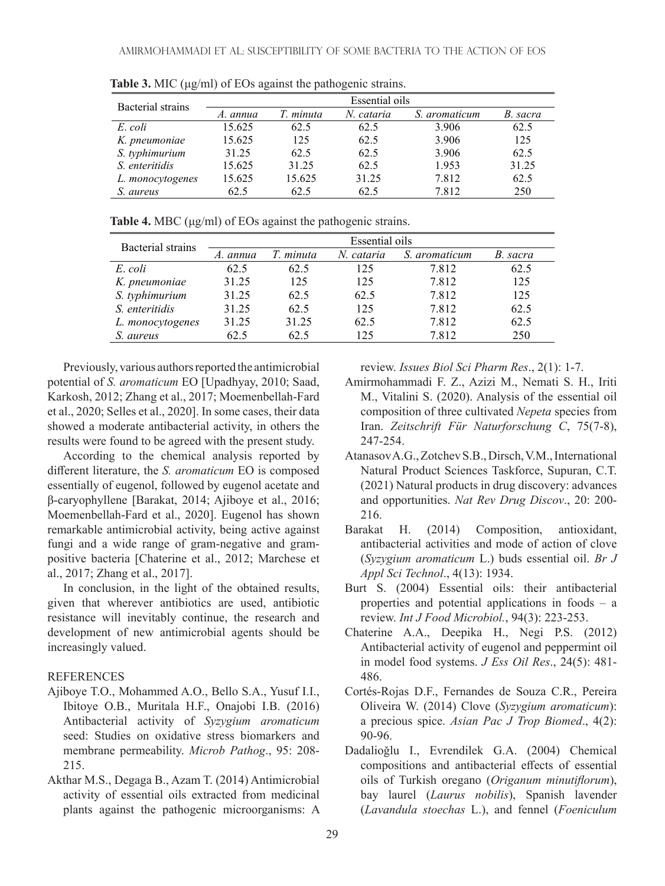| Bacterial strains | Essential oils |           |            |               |          |
|-------------------|----------------|-----------|------------|---------------|----------|
|                   | A. annua       | T. minuta | N. cataria | S. aromaticum | B. sacra |
| E. coli           | 15.625         | 62.5      | 62.5       | 3.906         | 62.5     |
| K. pneumoniae     | 15.625         | 125       | 62.5       | 3.906         | 125      |
| S. typhimurium    | 31.25          | 62.5      | 62.5       | 3.906         | 62.5     |
| S. enteritidis    | 15.625         | 31.25     | 62.5       | 1.953         | 31.25    |
| L. monocytogenes  | 15.625         | 15.625    | 31.25      | 7.812         | 62.5     |
| S. aureus         | 62.5           | 62.5      | 62.5       | 7.812         | 250      |

**Table 3.** MIC (μg/ml) of EOs against the pathogenic strains.

**Table 4.** MBC (μg/ml) of EOs against the pathogenic strains.

| Bacterial strains | Essential oils |          |            |               |          |
|-------------------|----------------|----------|------------|---------------|----------|
|                   | A. annua       | T minuta | N. cataria | S. aromaticum | B. sacra |
| E. coli           | 62.5           | 62.5     | 125        | 7.812         | 62.5     |
| K. pneumoniae     | 31.25          | 125      | 125        | 7.812         | 125      |
| S. typhimurium    | 31.25          | 62.5     | 62.5       | 7.812         | 125      |
| S. enteritidis    | 31.25          | 62.5     | 125        | 7.812         | 62.5     |
| L. monocytogenes  | 31.25          | 31.25    | 62.5       | 7.812         | 62.5     |
| S. aureus         | 62.5           | 62.5     | 125        | 7.812         | 250      |

Previously, various authors reported the antimicrobial potential of *S. aromaticum* EO [Upadhyay, 2010; Saad, Karkosh, 2012; Zhang et al., 2017; Moemenbellah-Fard et al., 2020; Selles et al., 2020]. In some cases, their data showed a moderate antibacterial activity, in others the results were found to be agreed with the present study.

According to the chemical analysis reported by different literature, the *S. aromaticum* EO is composed essentially of eugenol, followed by eugenol acetate and β-caryophyllene [Barakat, 2014; Ajiboye et al., 2016; Moemenbellah-Fard et al., 2020]. Eugenol has shown remarkable antimicrobial activity, being active against fungi and a wide range of gram-negative and grampositive bacteria [Chaterine et al., 2012; Marchese et al., 2017; Zhang et al., 2017].

In conclusion, in the light of the obtained results, given that wherever antibiotics are used, antibiotic resistance will inevitably continue, the research and development of new antimicrobial agents should be increasingly valued.

# REFERENCES

- Ajiboye T.O., Mohammed A.O., Bello S.A., Yusuf I.I., Ibitoye O.B., Muritala H.F., Onajobi I.B. (2016) Antibacterial activity of *Syzygium aromaticum*  seed: Studies on oxidative stress biomarkers and membrane permeability. *Microb Pathog*., 95: 208- 215.
- Akthar M.S., Degaga B., Azam T. (2014) Antimicrobial activity of essential oils extracted from medicinal plants against the pathogenic microorganisms: A

review. *Issues Biol Sci Pharm Res*., 2(1): 1-7.

- Amirmohammadi F. Z., Azizi M., Nemati S. H., Iriti M., Vitalini S. (2020). Analysis of the essential oil composition of three cultivated *Nepeta* species from Iran. *Zeitschrift Für Naturforschung C*, 75(7-8), 247-254.
- Atanasov A.G., Zotchev S.B., Dirsch, V.M., International Natural Product Sciences Taskforce, Supuran, C.T. (2021) Natural products in drug discovery: advances and opportunities. *Nat Rev Drug Discov*., 20: 200- 216.
- Barakat H. (2014) Composition, antioxidant, antibacterial activities and mode of action of clove (*Syzygium aromaticum* L.) buds essential oil. *Br J Appl Sci Technol*., 4(13): 1934.
- Burt S. (2004) Essential oils: their antibacterial properties and potential applications in foods – a review. *Int J Food Microbiol.*, 94(3): 223-253.
- Chaterine A.A., Deepika H., Negi P.S. (2012) Antibacterial activity of eugenol and peppermint oil in model food systems. *J Ess Oil Res*., 24(5): 481- 486.
- Cortés-Rojas D.F., Fernandes de Souza C.R., Pereira Oliveira W. (2014) Clove (*Syzygium aromaticum*): a precious spice. *Asian Pac J Trop Biomed*., 4(2): 90-96.
- Dadalioǧlu I., Evrendilek G.A. (2004) Chemical compositions and antibacterial effects of essential oils of Turkish oregano (*Origanum minutiflorum*), bay laurel (*Laurus nobilis*), Spanish lavender (*Lavandula stoechas* L.), and fennel (*Foeniculum*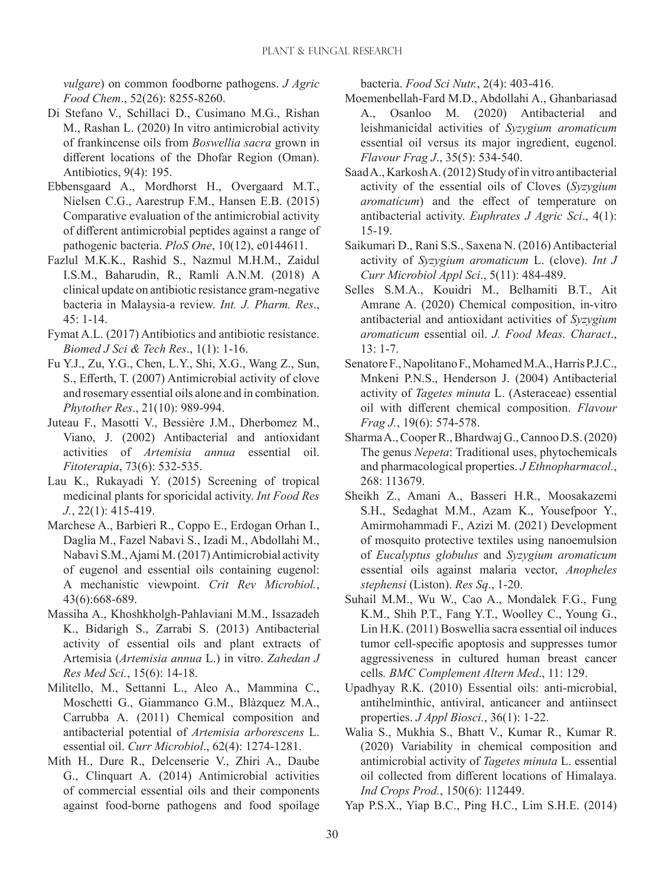*vulgare*) on common foodborne pathogens. *J Agric Food Chem*., 52(26): 8255-8260.

- Di Stefano V., Schillaci D., Cusimano M.G., Rishan M., Rashan L. (2020) In vitro antimicrobial activity of frankincense oils from *Boswellia sacra* grown in different locations of the Dhofar Region (Oman). Antibiotics, 9(4): 195.
- Ebbensgaard A., Mordhorst H., Overgaard M.T., Nielsen C.G., Aarestrup F.M., Hansen E.B. (2015) Comparative evaluation of the antimicrobial activity of different antimicrobial peptides against a range of pathogenic bacteria. *PloS One*, 10(12), e0144611.
- Fazlul M.K.K., Rashid S., Nazmul M.H.M., Zaidul I.S.M., Baharudin, R., Ramli A.N.M. (2018) A clinical update on antibiotic resistance gram-negative bacteria in Malaysia-a review. *Int. J. Pharm. Res*., 45: 1-14.
- Fymat A.L. (2017) Antibiotics and antibiotic resistance. *Biomed J Sci & Tech Res*., 1(1): 1-16.
- Fu Y.J., Zu, Y.G., Chen, L.Y., Shi, X.G., Wang Z., Sun, S., Efferth, T. (2007) Antimicrobial activity of clove and rosemary essential oils alone and in combination. *Phytother Res*., 21(10): 989-994.
- Juteau F., Masotti V., Bessière J.M., Dherbomez M., Viano, J. (2002) Antibacterial and antioxidant activities of *Artemisia annua* essential oil. *Fitoterapia*, 73(6): 532-535.
- Lau K., Rukayadi Y. (2015) Screening of tropical medicinal plants for sporicidal activity. *Int Food Res J.*, 22(1): 415-419.
- Marchese A., Barbieri R., Coppo E., Erdogan Orhan I., Daglia M., Fazel Nabavi S., Izadi M., Abdollahi M., Nabavi S.M., Ajami M. (2017) Antimicrobial activity of eugenol and essential oils containing eugenol: A mechanistic viewpoint. *Crit Rev Microbiol.*, 43(6):668-689.
- Massiha A., Khoshkholgh-Pahlaviani M.M., Issazadeh K., Bidarigh S., Zarrabi S. (2013) Antibacterial activity of essential oils and plant extracts of Artemisia (*Artemisia annua* L.) in vitro. *Zahedan J Res Med Sci.*, 15(6): 14-18.
- Militello, M., Settanni L., Aleo A., Mammina C., Moschetti G., Giammanco G.M., Blàzquez M.A., Carrubba A. (2011) Chemical composition and antibacterial potential of *Artemisia arborescens* L. essential oil. *Curr Microbiol*., 62(4): 1274-1281.
- Mith H., Dure R., Delcenserie V., Zhiri A., Daube G., Clinquart A. (2014) Antimicrobial activities of commercial essential oils and their components against food‐borne pathogens and food spoilage

bacteria. *Food Sci Nutr.*, 2(4): 403-416.

- Moemenbellah-Fard M.D., Abdollahi A., Ghanbariasad A., Osanloo M. (2020) Antibacterial and leishmanicidal activities of *Syzygium aromaticum*  essential oil versus its major ingredient, eugenol. *Flavour Frag J*., 35(5): 534-540.
- Saad A., Karkosh A. (2012) Study of in vitro antibacterial activity of the essential oils of Cloves (*Syzygium aromaticum*) and the effect of temperature on antibacterial activity. *Euphrates J Agric Sci*., 4(1): 15-19.
- Saikumari D., Rani S.S., Saxena N. (2016) Antibacterial activity of *Syzygium aromaticum* L. (clove). *Int J Curr Microbiol Appl Sci*., 5(11): 484-489.
- Selles S.M.A., Kouidri M., Belhamiti B.T., Ait Amrane A. (2020) Chemical composition, in-vitro antibacterial and antioxidant activities of *Syzygium aromaticum* essential oil. *J. Food Meas. Charact*., 13: 1-7.
- Senatore F., Napolitano F., Mohamed M.A., Harris P.J.C., Mnkeni P.N.S., Henderson J. (2004) Antibacterial activity of *Tagetes minuta* L. (Asteraceae) essential oil with different chemical composition. *Flavour Frag J.*, 19(6): 574-578.
- Sharma A., Cooper R., Bhardwaj G., Cannoo D.S. (2020) The genus *Nepeta*: Traditional uses, phytochemicals and pharmacological properties. *J Ethnopharmacol.*, 268: 113679.
- Sheikh Z., Amani A., Basseri H.R., Moosakazemi S.H., Sedaghat M.M., Azam K., Yousefpoor Y., Amirmohammadi F., Azizi M. (2021) Development of mosquito protective textiles using nanoemulsion of *Eucalyptus globulus* and *Syzygium aromaticum* essential oils against malaria vector, *Anopheles stephensi* (Liston). *Res Sq*., 1-20.
- Suhail M.M., Wu W., Cao A., Mondalek F.G., Fung K.M., Shih P.T., Fang Y.T., Woolley C., Young G., Lin H.K. (2011) Boswellia sacra essential oil induces tumor cell-specific apoptosis and suppresses tumor aggressiveness in cultured human breast cancer cells*. BMC Complement Altern Med*., 11: 129.
- Upadhyay R.K. (2010) Essential oils: anti-microbial, antihelminthic, antiviral, anticancer and antiinsect properties. *J Appl Biosci.*, 36(1): 1-22.
- Walia S., Mukhia S., Bhatt V., Kumar R., Kumar R. (2020) Variability in chemical composition and antimicrobial activity of *Tagetes minuta* L. essential oil collected from different locations of Himalaya. *Ind Crops Prod.*, 150(6): 112449.
- Yap P.S.X., Yiap B.C., Ping H.C., Lim S.H.E. (2014)